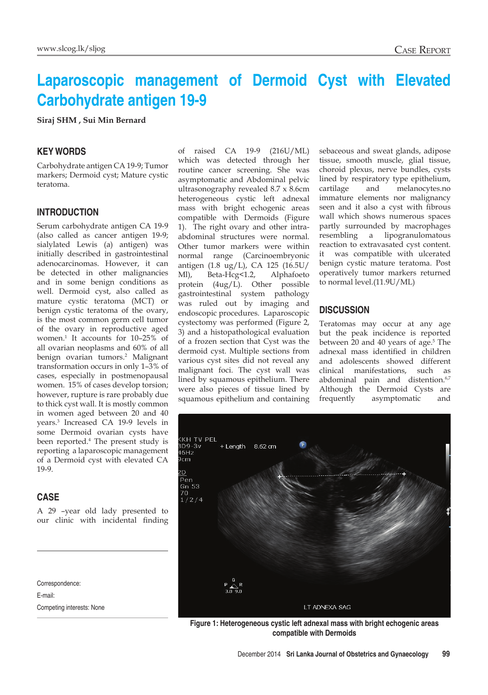# **Laparoscopic management of Dermoid Cyst with Elevated Carbohydrate antigen 19-9**

**Siraj SHM , Sui Min Bernard**

### **Key Words**

Carbohydrate antigen CA 19-9; Tumor markers; Dermoid cyst; Mature cystic teratoma.

#### **Introduction**

Serum carbohydrate antigen CA 19-9 (also called as cancer antigen 19-9; sialylated Lewis (a) antigen) was initially described in gastrointestinal adenocarcinomas. However, it can be detected in other malignancies and in some benign conditions as well. Dermoid cyst, also called as mature cystic teratoma (MCT) or benign cystic teratoma of the ovary, is the most common germ cell tumor of the ovary in reproductive aged women.1 It accounts for 10–25% of all ovarian neoplasms and 60% of all benign ovarian tumors.<sup>2</sup> Malignant transformation occurs in only 1–3% of cases, especially in postmenopausal women. 15% of cases develop torsion; however, rupture is rare probably due to thick cyst wall. It is mostly common in women aged between 20 and 40 years.3 Increased CA 19-9 levels in some Dermoid ovarian cysts have been reported.4 The present study is reporting a laparoscopic management of a Dermoid cyst with elevated CA 19-9.

### **Case**

A 29 –year old lady presented to our clinic with incidental finding

Correspondence: E-mail: Competing interests: None of raised CA 19-9 (216U/ML) which was detected through her routine cancer screening. She was asymptomatic and Abdominal pelvic ultrasonography revealed 8.7 x 8.6cm heterogeneous cystic left adnexal mass with bright echogenic areas compatible with Dermoids (Figure 1). The right ovary and other intraabdominal structures were normal. Other tumor markers were within normal range (Carcinoembryonic antigen (1.8 ug/L), CA 125 (16.5U/ Ml), Beta-Hcg<1.2, Alphafoeto protein (4ug/L). Other possible gastrointestinal system pathology was ruled out by imaging and endoscopic procedures. Laparoscopic cystectomy was performed (Figure 2, 3) and a histopathological evaluation of a frozen section that Cyst was the dermoid cyst. Multiple sections from various cyst sites did not reveal any malignant foci. The cyst wall was lined by squamous epithelium. There were also pieces of tissue lined by squamous epithelium and containing sebaceous and sweat glands, adipose tissue, smooth muscle, glial tissue, choroid plexus, nerve bundles, cysts lined by respiratory type epithelium, cartilage and melanocytes.no immature elements nor malignancy seen and it also a cyst with fibrous wall which shows numerous spaces partly surrounded by macrophages resembling a lipogranulomatous reaction to extravasated cyst content. it was compatible with ulcerated benign cystic mature teratoma. Post operatively tumor markers returned to normal level.(11.9U/ML)

### **Discussion**

Teratomas may occur at any age but the peak incidence is reported between 20 and 40 years of age.<sup>5</sup> The adnexal mass identified in children and adolescents showed different clinical manifestations, such as abdominal pain and distention.<sup>6,7</sup> Although the Dermoid Cysts are frequently asymptomatic and



**Figure 1: Heterogeneous cystic left adnexal mass with bright echogenic areas compatible with Dermoids**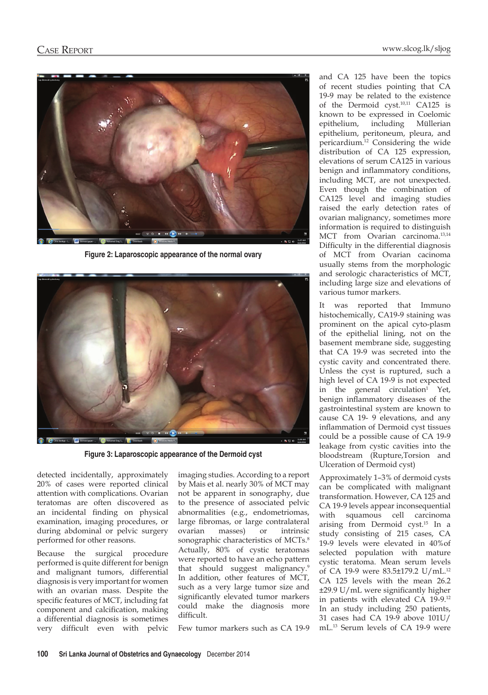

**Figure 2: Laparoscopic appearance of the normal ovary**



**Figure 3: Laparoscopic appearance of the Dermoid cyst**

detected incidentally, approximately 20% of cases were reported clinical attention with complications. Ovarian teratomas are often discovered as an incidental finding on physical examination, imaging procedures, or during abdominal or pelvic surgery performed for other reasons.

Because the surgical procedure performed is quite different for benign and malignant tumors, differential diagnosis is very important for women with an ovarian mass. Despite the specific features of MCT, including fat component and calcification, making a differential diagnosis is sometimes very difficult even with pelvic imaging studies. According to a report by Mais et al. nearly 30% of MCT may not be apparent in sonography, due to the presence of associated pelvic abnormalities (e.g., endometriomas, large fibromas, or large contralateral ovarian masses) or intrinsic sonographic characteristics of MCTs.<sup>8</sup> Actually, 80% of cystic teratomas were reported to have an echo pattern that should suggest malignancy.9 In addition, other features of MCT, such as a very large tumor size and significantly elevated tumor markers could make the diagnosis more difficult.

Few tumor markers such as CA 19-9

and CA 125 have been the topics of recent studies pointing that CA 19-9 may be related to the existence of the Dermoid cyst.<sup>10,11</sup> CA125 is known to be expressed in Coelomic epithelium, including Müllerian epithelium, peritoneum, pleura, and pericardium.12 Considering the wide distribution of CA 125 expression, elevations of serum CA125 in various benign and inflammatory conditions, including MCT, are not unexpected. Even though the combination of CA125 level and imaging studies raised the early detection rates of ovarian malignancy, sometimes more information is required to distinguish MCT from Ovarian carcinoma.<sup>13,14</sup> Difficulty in the differential diagnosis of MCT from Ovarian cacinoma usually stems from the morphologic and serologic characteristics of MCT, including large size and elevations of various tumor markers.

It was reported that Immuno histochemically, CA19-9 staining was prominent on the apical cyto-plasm of the epithelial lining, not on the basement membrane side, suggesting that CA 19-9 was secreted into the cystic cavity and concentrated there. Unless the cyst is ruptured, such a high level of CA 19-9 is not expected in the general circulation<sup>1</sup> Yet, benign inflammatory diseases of the gastrointestinal system are known to cause CA 19- 9 elevations, and any inflammation of Dermoid cyst tissues could be a possible cause of CA 19-9 leakage from cystic cavities into the bloodstream (Rupture,Torsion and Ulceration of Dermoid cyst)

Approximately 1–3% of dermoid cysts can be complicated with malignant transformation. However, CA 125 and CA 19-9 levels appear inconsequential with squamous cell carcinoma arising from Dermoid cyst.15 In a study consisting of 215 cases, CA 19-9 levels were elevated in 40%of selected population with mature cystic teratoma. Mean serum levels of CA 19-9 were 83.5±179.2 U/mL.12 CA 125 levels with the mean 26.2 ±29.9 U/mL were significantly higher in patients with elevated CA 19-9.12 In an study including 250 patients, 31 cases had CA 19-9 above 101U/ mL.13 Serum levels of CA 19-9 were